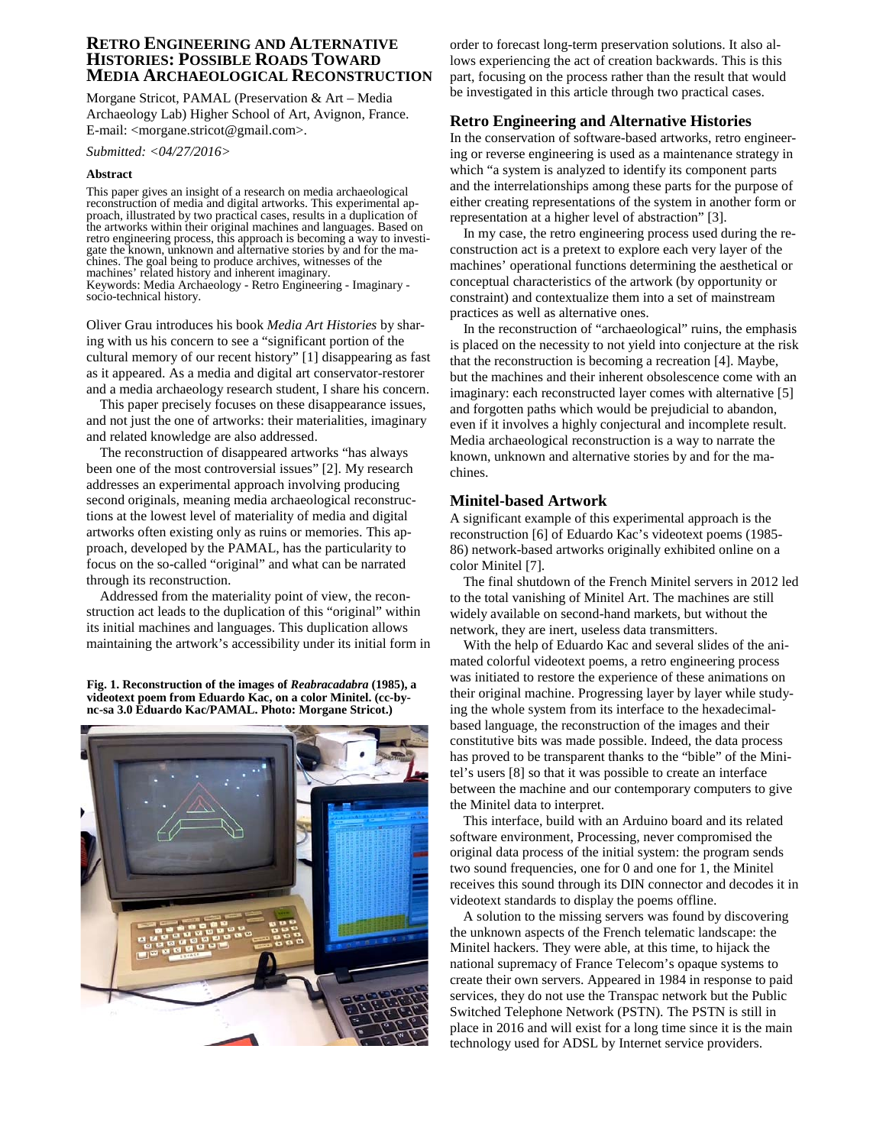# **RETRO ENGINEERING AND ALTERNATIVE HISTORIES: POSSIBLE ROADS TOWARD MEDIA ARCHAEOLOGICAL RECONSTRUCTION**

Morgane Stricot, PAMAL (Preservation & Art – Media Archaeology Lab) Higher School of Art, Avignon, France. E-mail: <morgane.stricot@gmail.com>.

*Submitted: <04/27/2016>*

#### **Abstract**

This paper gives an insight of a research on media archaeological reconstruction of media and digital artworks. This experimental approach, illustrated by two practical cases, results in a duplication of the artworks within their original machines and languages. Based on retro engineering process, this approach is becoming a way to investigate the known, unknown and alternative stories by and for the ma- chines. The goal being to produce archives, witnesses of the machines' related history and inherent imaginary. Keywords: Media Archaeology - Retro Engineering - Imaginary - socio-technical history.

Oliver Grau introduces his book *Media Art Histories* by sharing with us his concern to see a "significant portion of the cultural memory of our recent history" [1] disappearing as fast as it appeared. As a media and digital art conservator-restorer and a media archaeology research student, I share his concern.

This paper precisely focuses on these disappearance issues, and not just the one of artworks: their materialities, imaginary and related knowledge are also addressed.

The reconstruction of disappeared artworks "has always been one of the most controversial issues" [2]. My research addresses an experimental approach involving producing second originals, meaning media archaeological reconstructions at the lowest level of materiality of media and digital artworks often existing only as ruins or memories. This approach, developed by the PAMAL, has the particularity to focus on the so-called "original" and what can be narrated through its reconstruction.

Addressed from the materiality point of view, the reconstruction act leads to the duplication of this "original" within its initial machines and languages. This duplication allows maintaining the artwork's accessibility under its initial form in

**Fig. 1. Reconstruction of the images of** *Reabracadabra* **(1985), a videotext poem from Eduardo Kac, on a color Minitel. (cc-bync-sa 3.0 Eduardo Kac/PAMAL. Photo: Morgane Stricot.)**



order to forecast long-term preservation solutions. It also allows experiencing the act of creation backwards. This is this part, focusing on the process rather than the result that would be investigated in this article through two practical cases.

### **Retro Engineering and Alternative Histories**

In the conservation of software-based artworks, retro engineering or reverse engineering is used as a maintenance strategy in which "a system is analyzed to identify its component parts and the interrelationships among these parts for the purpose of either creating representations of the system in another form or representation at a higher level of abstraction" [3].

In my case, the retro engineering process used during the reconstruction act is a pretext to explore each very layer of the machines' operational functions determining the aesthetical or conceptual characteristics of the artwork (by opportunity or constraint) and contextualize them into a set of mainstream practices as well as alternative ones.

In the reconstruction of "archaeological" ruins, the emphasis is placed on the necessity to not yield into conjecture at the risk that the reconstruction is becoming a recreation [4]. Maybe, but the machines and their inherent obsolescence come with an imaginary: each reconstructed layer comes with alternative [5] and forgotten paths which would be prejudicial to abandon, even if it involves a highly conjectural and incomplete result. Media archaeological reconstruction is a way to narrate the known, unknown and alternative stories by and for the machines.

## **Minitel-based Artwork**

A significant example of this experimental approach is the reconstruction [6] of Eduardo Kac's videotext poems (1985- 86) network-based artworks originally exhibited online on a color Minitel [7].

The final shutdown of the French Minitel servers in 2012 led to the total vanishing of Minitel Art. The machines are still widely available on second-hand markets, but without the network, they are inert, useless data transmitters.

With the help of Eduardo Kac and several slides of the animated colorful videotext poems, a retro engineering process was initiated to restore the experience of these animations on their original machine. Progressing layer by layer while studying the whole system from its interface to the hexadecimalbased language, the reconstruction of the images and their constitutive bits was made possible. Indeed, the data process has proved to be transparent thanks to the "bible" of the Minitel's users [8] so that it was possible to create an interface between the machine and our contemporary computers to give the Minitel data to interpret.

This interface, build with an Arduino board and its related software environment, Processing, never compromised the original data process of the initial system: the program sends two sound frequencies, one for 0 and one for 1, the Minitel receives this sound through its DIN connector and decodes it in videotext standards to display the poems offline.

A solution to the missing servers was found by discovering the unknown aspects of the French telematic landscape: the Minitel hackers. They were able, at this time, to hijack the national supremacy of France Telecom's opaque systems to create their own servers. Appeared in 1984 in response to paid services, they do not use the Transpac network but the Public Switched Telephone Network (PSTN). The PSTN is still in place in 2016 and will exist for a long time since it is the main technology used for ADSL by Internet service providers.